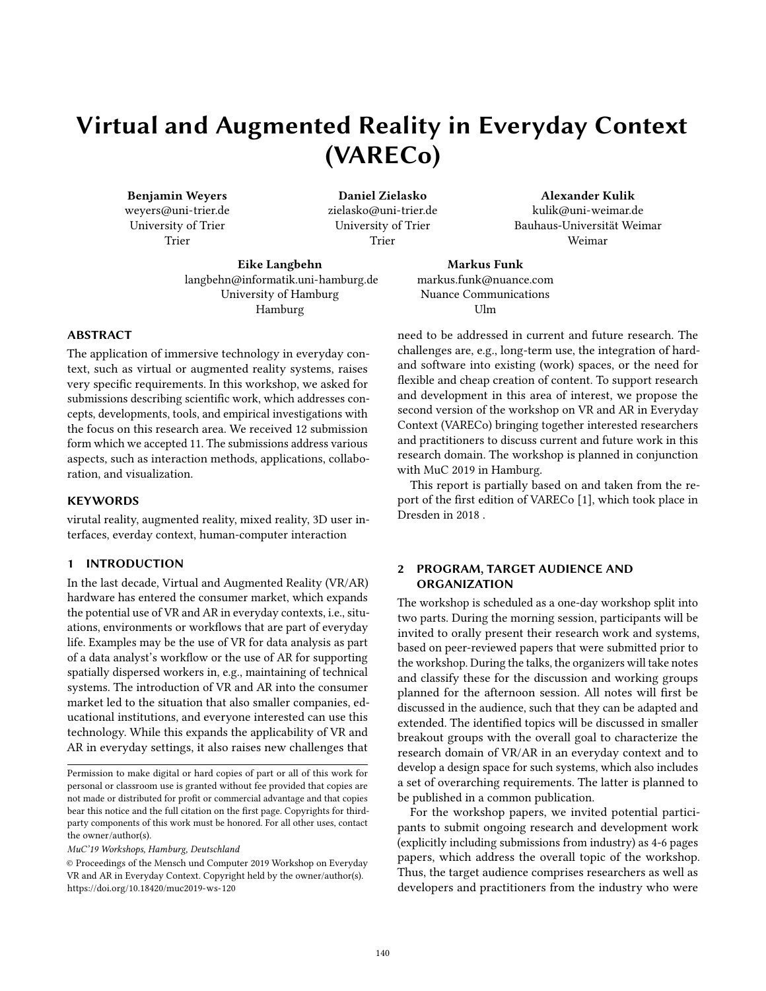# Virtual and Augmented Reality in Everyday Context (VARECo)

Benjamin Weyers weyers@uni-trier.de University of Trier Trier

Daniel Zielasko zielasko@uni-trier.de University of Trier Trier

Alexander Kulik kulik@uni-weimar.de Bauhaus-Universität Weimar Weimar

Eike Langbehn langbehn@informatik.uni-hamburg.de University of Hamburg Hamburg

Markus Funk markus.funk@nuance.com Nuance Communications Ulm

#### ABSTRACT

The application of immersive technology in everyday context, such as virtual or augmented reality systems, raises very specific requirements. In this workshop, we asked for submissions describing scientific work, which addresses concepts, developments, tools, and empirical investigations with the focus on this research area. We received 12 submission form which we accepted 11. The submissions address various aspects, such as interaction methods, applications, collaboration, and visualization.

#### **KEYWORDS**

virutal reality, augmented reality, mixed reality, 3D user interfaces, everday context, human-computer interaction

#### 1 INTRODUCTION

In the last decade, Virtual and Augmented Reality (VR/AR) hardware has entered the consumer market, which expands the potential use of VR and AR in everyday contexts, i.e., situations, environments or workflows that are part of everyday life. Examples may be the use of VR for data analysis as part of a data analyst's workflow or the use of AR for supporting spatially dispersed workers in, e.g., maintaining of technical systems. The introduction of VR and AR into the consumer market led to the situation that also smaller companies, educational institutions, and everyone interested can use this technology. While this expands the applicability of VR and AR in everyday settings, it also raises new challenges that

MuC'19 Workshops, Hamburg, Deutschland

need to be addressed in current and future research. The challenges are, e.g., long-term use, the integration of hardand software into existing (work) spaces, or the need for flexible and cheap creation of content. To support research and development in this area of interest, we propose the second version of the workshop on VR and AR in Everyday Context (VARECo) bringing together interested researchers and practitioners to discuss current and future work in this research domain. The workshop is planned in conjunction with MuC 2019 in Hamburg.

This report is partially based on and taken from the report of the first edition of VARECo [1], which took place in Dresden in 2018 .

## 2 PROGRAM, TARGET AUDIENCE AND ORGANIZATION

The workshop is scheduled as a one-day workshop split into two parts. During the morning session, participants will be invited to orally present their research work and systems, based on peer-reviewed papers that were submitted prior to the workshop. During the talks, the organizers will take notes and classify these for the discussion and working groups planned for the afternoon session. All notes will first be discussed in the audience, such that they can be adapted and extended. The identified topics will be discussed in smaller breakout groups with the overall goal to characterize the research domain of VR/AR in an everyday context and to develop a design space for such systems, which also includes a set of overarching requirements. The latter is planned to be published in a common publication.

For the workshop papers, we invited potential participants to submit ongoing research and development work (explicitly including submissions from industry) as 4-6 pages papers, which address the overall topic of the workshop. Thus, the target audience comprises researchers as well as developers and practitioners from the industry who were

Permission to make digital or hard copies of part or all of this work for personal or classroom use is granted without fee provided that copies are not made or distributed for profit or commercial advantage and that copies bear this notice and the full citation on the first page. Copyrights for thirdparty components of this work must be honored. For all other uses, contact the owner/author(s).

<sup>©</sup> Proceedings of the Mensch und Computer 2019 Workshop on Everyday VR and AR in Everyday Context. Copyright held by the owner/author(s). <https://doi.org/10.18420/muc2019-ws-120>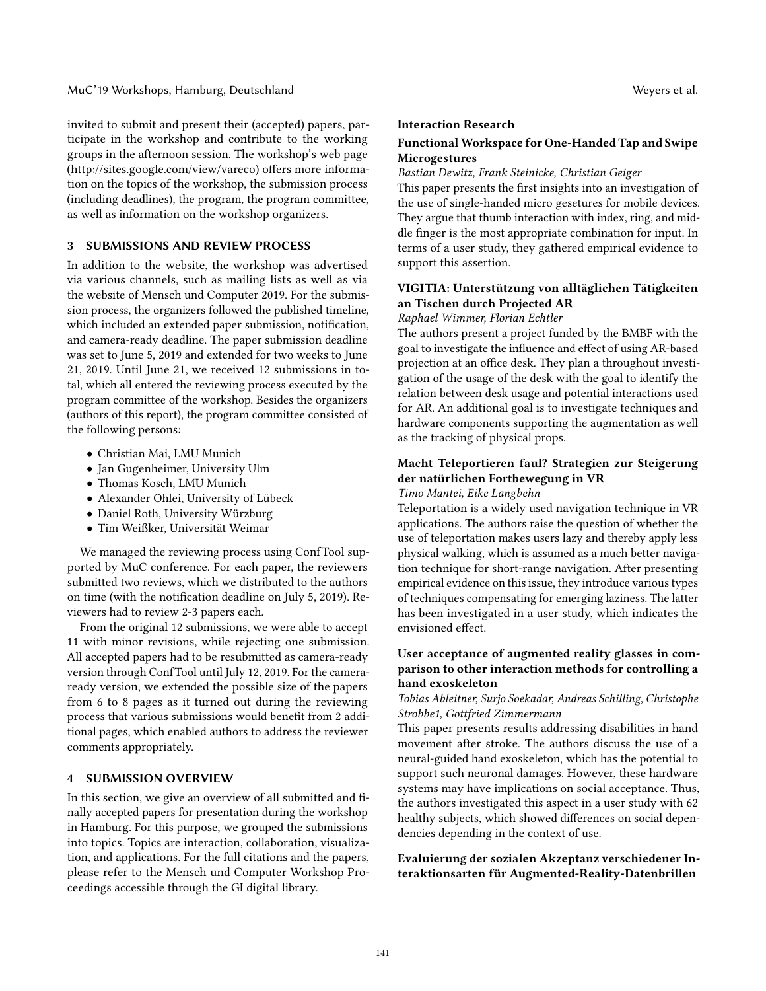invited to submit and present their (accepted) papers, participate in the workshop and contribute to the working groups in the afternoon session. The workshop's web page (http://sites.google.com/view/vareco) offers more information on the topics of the workshop, the submission process (including deadlines), the program, the program committee, as well as information on the workshop organizers.

## 3 SUBMISSIONS AND REVIEW PROCESS

In addition to the website, the workshop was advertised via various channels, such as mailing lists as well as via the website of Mensch und Computer 2019. For the submission process, the organizers followed the published timeline, which included an extended paper submission, notification, and camera-ready deadline. The paper submission deadline was set to June 5, 2019 and extended for two weeks to June 21, 2019. Until June 21, we received 12 submissions in total, which all entered the reviewing process executed by the program committee of the workshop. Besides the organizers (authors of this report), the program committee consisted of the following persons:

- Christian Mai, LMU Munich
- Jan Gugenheimer, University Ulm
- Thomas Kosch, LMU Munich
- Alexander Ohlei, University of Lübeck
- Daniel Roth, University Würzburg
- Tim Weißker, Universität Weimar

We managed the reviewing process using ConfTool supported by MuC conference. For each paper, the reviewers submitted two reviews, which we distributed to the authors on time (with the notification deadline on July 5, 2019). Reviewers had to review 2-3 papers each.

From the original 12 submissions, we were able to accept 11 with minor revisions, while rejecting one submission. All accepted papers had to be resubmitted as camera-ready version through ConfTool until July 12, 2019. For the cameraready version, we extended the possible size of the papers from 6 to 8 pages as it turned out during the reviewing process that various submissions would benefit from 2 additional pages, which enabled authors to address the reviewer comments appropriately.

## 4 SUBMISSION OVERVIEW

In this section, we give an overview of all submitted and finally accepted papers for presentation during the workshop in Hamburg. For this purpose, we grouped the submissions into topics. Topics are interaction, collaboration, visualization, and applications. For the full citations and the papers, please refer to the Mensch und Computer Workshop Proceedings accessible through the GI digital library.

#### Interaction Research

## Functional Workspace for One-Handed Tap and Swipe Microgestures

## Bastian Dewitz, Frank Steinicke, Christian Geiger

This paper presents the first insights into an investigation of the use of single-handed micro gesetures for mobile devices. They argue that thumb interaction with index, ring, and middle finger is the most appropriate combination for input. In terms of a user study, they gathered empirical evidence to support this assertion.

# VIGITIA: Unterstützung von alltäglichen Tätigkeiten an Tischen durch Projected AR

#### Raphael Wimmer, Florian Echtler

The authors present a project funded by the BMBF with the goal to investigate the influence and effect of using AR-based projection at an office desk. They plan a throughout investigation of the usage of the desk with the goal to identify the relation between desk usage and potential interactions used for AR. An additional goal is to investigate techniques and hardware components supporting the augmentation as well as the tracking of physical props.

## Macht Teleportieren faul? Strategien zur Steigerung der natürlichen Fortbewegung in VR

Timo Mantei, Eike Langbehn

Teleportation is a widely used navigation technique in VR applications. The authors raise the question of whether the use of teleportation makes users lazy and thereby apply less physical walking, which is assumed as a much better navigation technique for short-range navigation. After presenting empirical evidence on this issue, they introduce various types of techniques compensating for emerging laziness. The latter has been investigated in a user study, which indicates the envisioned effect.

## User acceptance of augmented reality glasses in comparison to other interaction methods for controlling a hand exoskeleton

## Tobias Ableitner, Surjo Soekadar, Andreas Schilling, Christophe Strobbe1, Gottfried Zimmermann

This paper presents results addressing disabilities in hand movement after stroke. The authors discuss the use of a neural-guided hand exoskeleton, which has the potential to support such neuronal damages. However, these hardware systems may have implications on social acceptance. Thus, the authors investigated this aspect in a user study with 62 healthy subjects, which showed differences on social dependencies depending in the context of use.

## Evaluierung der sozialen Akzeptanz verschiedener Interaktionsarten für Augmented-Reality-Datenbrillen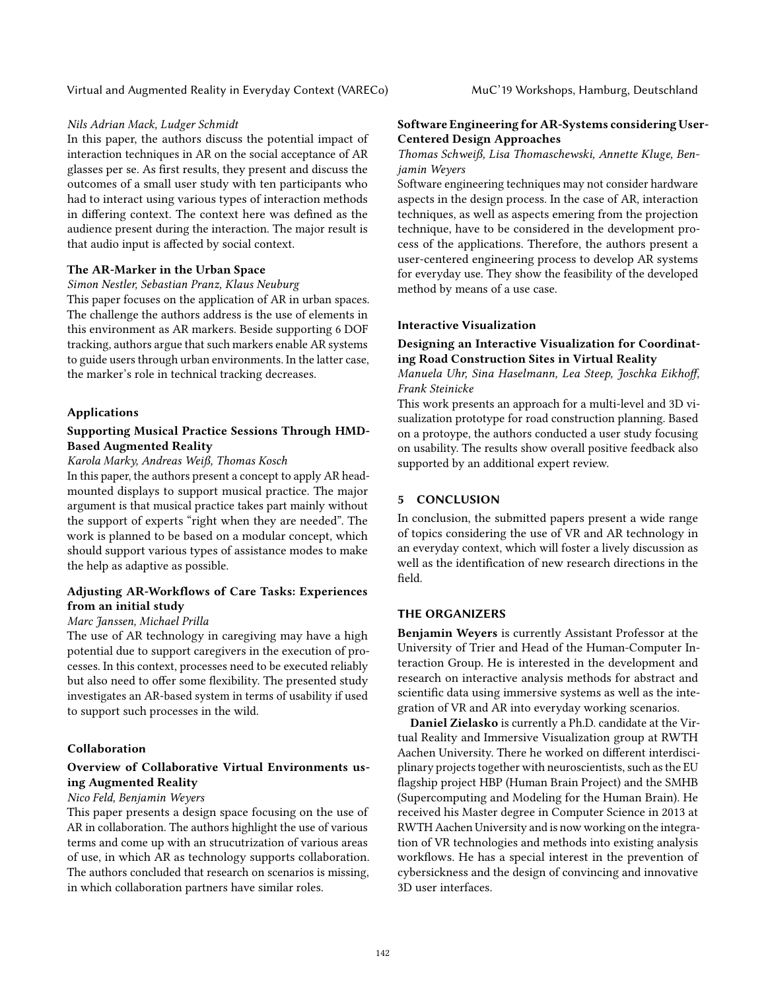#### Nils Adrian Mack, Ludger Schmidt

In this paper, the authors discuss the potential impact of interaction techniques in AR on the social acceptance of AR glasses per se. As first results, they present and discuss the outcomes of a small user study with ten participants who had to interact using various types of interaction methods in differing context. The context here was defined as the audience present during the interaction. The major result is that audio input is affected by social context.

#### The AR-Marker in the Urban Space

#### Simon Nestler, Sebastian Pranz, Klaus Neuburg

This paper focuses on the application of AR in urban spaces. The challenge the authors address is the use of elements in this environment as AR markers. Beside supporting 6 DOF tracking, authors argue that such markers enable AR systems to guide users through urban environments. In the latter case, the marker's role in technical tracking decreases.

#### Applications

## Supporting Musical Practice Sessions Through HMD-Based Augmented Reality

## Karola Marky, Andreas Weiß, Thomas Kosch

In this paper, the authors present a concept to apply AR headmounted displays to support musical practice. The major argument is that musical practice takes part mainly without the support of experts "right when they are needed". The work is planned to be based on a modular concept, which should support various types of assistance modes to make the help as adaptive as possible.

## Adjusting AR-Workflows of Care Tasks: Experiences from an initial study

#### Marc Janssen, Michael Prilla

The use of AR technology in caregiving may have a high potential due to support caregivers in the execution of processes. In this context, processes need to be executed reliably but also need to offer some flexibility. The presented study investigates an AR-based system in terms of usability if used to support such processes in the wild.

#### Collaboration

## Overview of Collaborative Virtual Environments using Augmented Reality

## Nico Feld, Benjamin Weyers

This paper presents a design space focusing on the use of AR in collaboration. The authors highlight the use of various terms and come up with an strucutrization of various areas of use, in which AR as technology supports collaboration. The authors concluded that research on scenarios is missing, in which collaboration partners have similar roles.

#### Software Engineering for AR-Systems considering User-Centered Design Approaches

## Thomas Schweiß, Lisa Thomaschewski, Annette Kluge, Benjamin Weyers

Software engineering techniques may not consider hardware aspects in the design process. In the case of AR, interaction techniques, as well as aspects emering from the projection technique, have to be considered in the development process of the applications. Therefore, the authors present a user-centered engineering process to develop AR systems for everyday use. They show the feasibility of the developed method by means of a use case.

## Interactive Visualization

## Designing an Interactive Visualization for Coordinating Road Construction Sites in Virtual Reality

Manuela Uhr, Sina Haselmann, Lea Steep, Joschka Eikhoff, Frank Steinicke

This work presents an approach for a multi-level and 3D visualization prototype for road construction planning. Based on a protoype, the authors conducted a user study focusing on usability. The results show overall positive feedback also supported by an additional expert review.

## 5 CONCLUSION

In conclusion, the submitted papers present a wide range of topics considering the use of VR and AR technology in an everyday context, which will foster a lively discussion as well as the identification of new research directions in the field.

#### THE ORGANIZERS

Benjamin Weyers is currently Assistant Professor at the University of Trier and Head of the Human-Computer Interaction Group. He is interested in the development and research on interactive analysis methods for abstract and scientific data using immersive systems as well as the integration of VR and AR into everyday working scenarios.

Daniel Zielasko is currently a Ph.D. candidate at the Virtual Reality and Immersive Visualization group at RWTH Aachen University. There he worked on different interdisciplinary projects together with neuroscientists, such as the EU flagship project HBP (Human Brain Project) and the SMHB (Supercomputing and Modeling for the Human Brain). He received his Master degree in Computer Science in 2013 at RWTH Aachen University and is now working on the integration of VR technologies and methods into existing analysis workflows. He has a special interest in the prevention of cybersickness and the design of convincing and innovative 3D user interfaces.